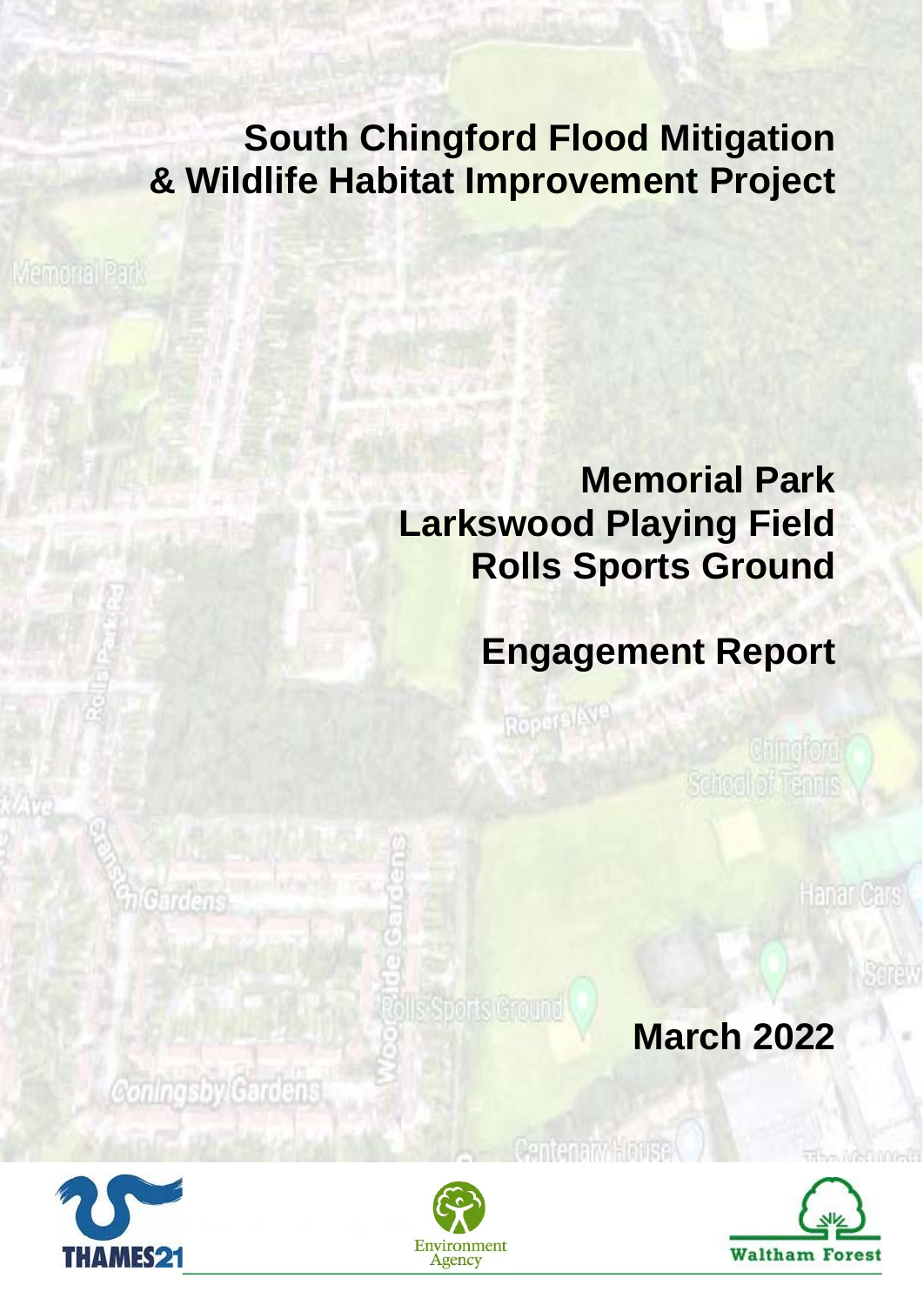## **South Chingford Flood Mitigation & Wildlife Habitat Improvement Project**

**Memoria** Park

## **Memorial Park Larkswood Playing Field Rolls Sports Ground**

Ropers (Ave.

# **Engagement Report**

Ching ford School of Tennis

Hanar Cars

**Morris** 

**March 2022**



Coningsby Gardens

*<u>MGardens</u>* 



**Polls Sports Ground** 

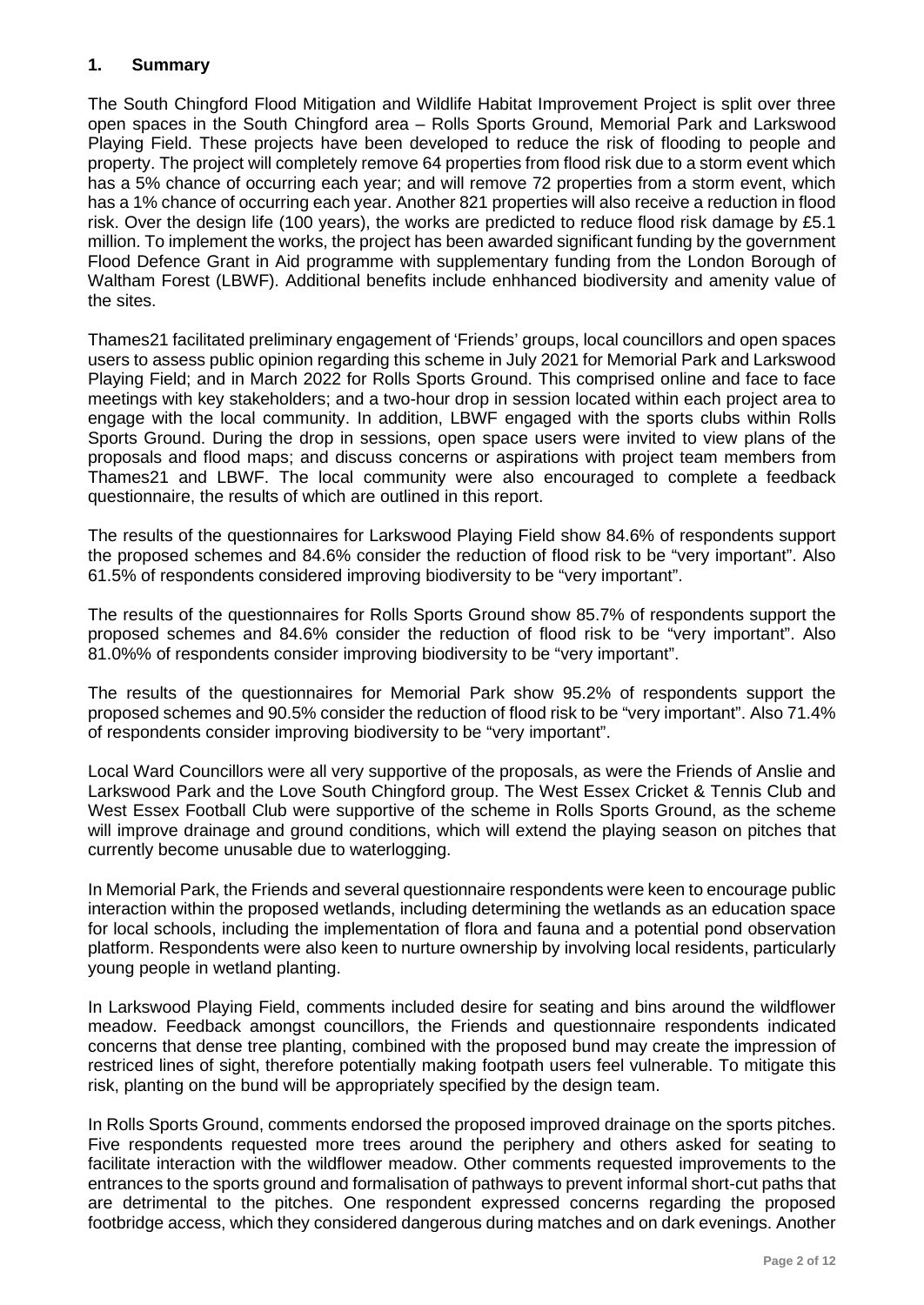## **1. Summary**

The South Chingford Flood Mitigation and Wildlife Habitat Improvement Project is split over three open spaces in the South Chingford area – Rolls Sports Ground, Memorial Park and Larkswood Playing Field. These projects have been developed to reduce the risk of flooding to people and property. The project will completely remove 64 properties from flood risk due to a storm event which has a 5% chance of occurring each year; and will remove 72 properties from a storm event, which has a 1% chance of occurring each year. Another 821 properties will also receive a reduction in flood risk. Over the design life (100 years), the works are predicted to reduce flood risk damage by £5.1 million. To implement the works, the project has been awarded significant funding by the government Flood Defence Grant in Aid programme with supplementary funding from the London Borough of Waltham Forest (LBWF). Additional benefits include enhhanced biodiversity and amenity value of the sites.

Thames21 facilitated preliminary engagement of 'Friends' groups, local councillors and open spaces users to assess public opinion regarding this scheme in July 2021 for Memorial Park and Larkswood Playing Field; and in March 2022 for Rolls Sports Ground. This comprised online and face to face meetings with key stakeholders; and a two-hour drop in session located within each project area to engage with the local community. In addition, LBWF engaged with the sports clubs within Rolls Sports Ground. During the drop in sessions, open space users were invited to view plans of the proposals and flood maps; and discuss concerns or aspirations with project team members from Thames21 and LBWF. The local community were also encouraged to complete a feedback questionnaire, the results of which are outlined in this report.

The results of the questionnaires for Larkswood Playing Field show 84.6% of respondents support the proposed schemes and 84.6% consider the reduction of flood risk to be "very important". Also 61.5% of respondents considered improving biodiversity to be "very important".

The results of the questionnaires for Rolls Sports Ground show 85.7% of respondents support the proposed schemes and 84.6% consider the reduction of flood risk to be "very important". Also 81.0%% of respondents consider improving biodiversity to be "very important".

The results of the questionnaires for Memorial Park show 95.2% of respondents support the proposed schemes and 90.5% consider the reduction of flood risk to be "very important". Also 71.4% of respondents consider improving biodiversity to be "very important".

Local Ward Councillors were all very supportive of the proposals, as were the Friends of Anslie and Larkswood Park and the Love South Chingford group. The West Essex Cricket & Tennis Club and West Essex Football Club were supportive of the scheme in Rolls Sports Ground, as the scheme will improve drainage and ground conditions, which will extend the playing season on pitches that currently become unusable due to waterlogging.

In Memorial Park, the Friends and several questionnaire respondents were keen to encourage public interaction within the proposed wetlands, including determining the wetlands as an education space for local schools, including the implementation of flora and fauna and a potential pond observation platform. Respondents were also keen to nurture ownership by involving local residents, particularly young people in wetland planting.

In Larkswood Playing Field, comments included desire for seating and bins around the wildflower meadow. Feedback amongst councillors, the Friends and questionnaire respondents indicated concerns that dense tree planting, combined with the proposed bund may create the impression of restriced lines of sight, therefore potentially making footpath users feel vulnerable. To mitigate this risk, planting on the bund will be appropriately specified by the design team.

In Rolls Sports Ground, comments endorsed the proposed improved drainage on the sports pitches. Five respondents requested more trees around the periphery and others asked for seating to facilitate interaction with the wildflower meadow. Other comments requested improvements to the entrances to the sports ground and formalisation of pathways to prevent informal short-cut paths that are detrimental to the pitches. One respondent expressed concerns regarding the proposed footbridge access, which they considered dangerous during matches and on dark evenings. Another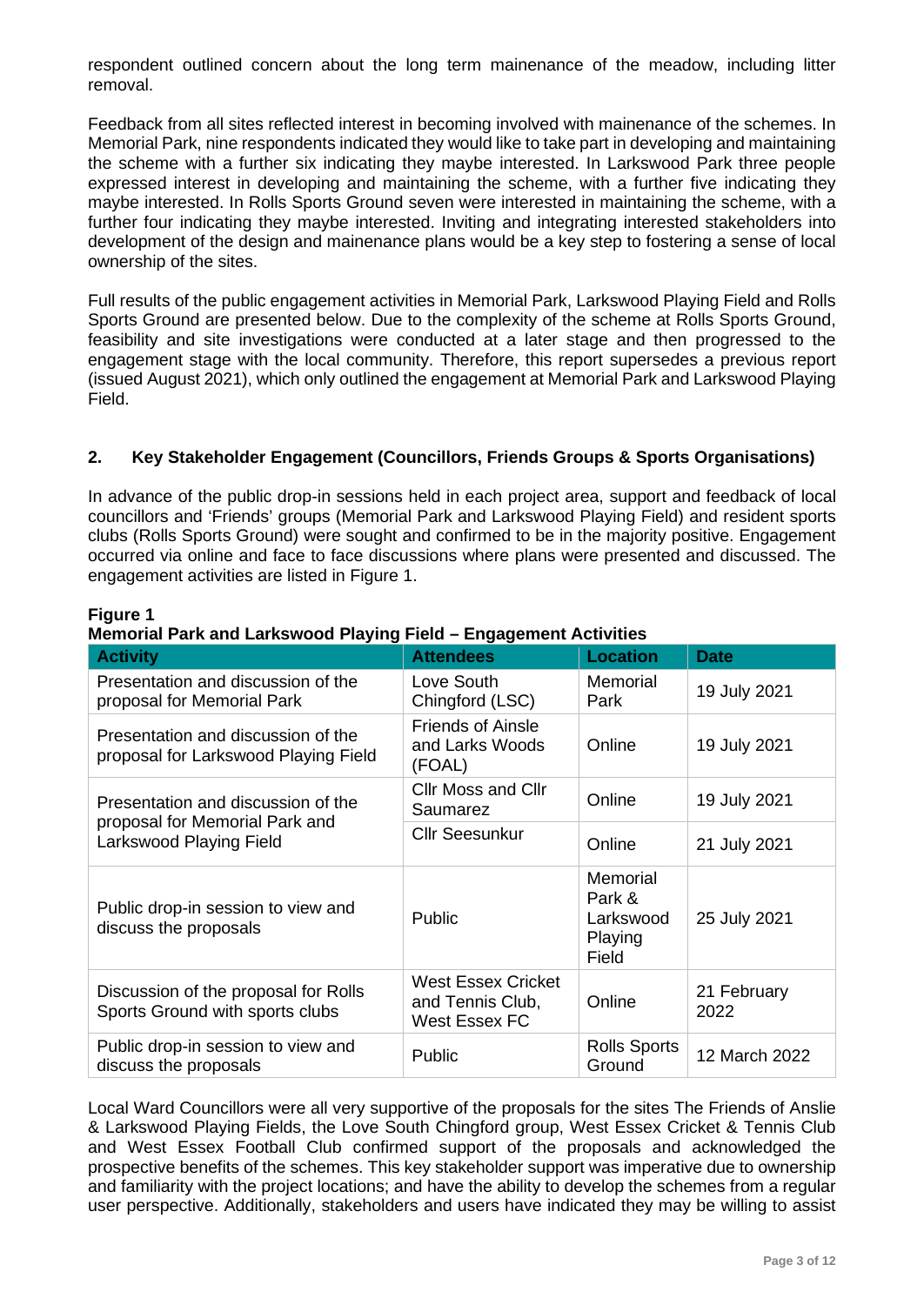respondent outlined concern about the long term mainenance of the meadow, including litter removal.

Feedback from all sites reflected interest in becoming involved with mainenance of the schemes. In Memorial Park, nine respondents indicated they would like to take part in developing and maintaining the scheme with a further six indicating they maybe interested. In Larkswood Park three people expressed interest in developing and maintaining the scheme, with a further five indicating they maybe interested. In Rolls Sports Ground seven were interested in maintaining the scheme, with a further four indicating they maybe interested. Inviting and integrating interested stakeholders into development of the design and mainenance plans would be a key step to fostering a sense of local ownership of the sites.

Full results of the public engagement activities in Memorial Park, Larkswood Playing Field and Rolls Sports Ground are presented below. Due to the complexity of the scheme at Rolls Sports Ground, feasibility and site investigations were conducted at a later stage and then progressed to the engagement stage with the local community. Therefore, this report supersedes a previous report (issued August 2021), which only outlined the engagement at Memorial Park and Larkswood Playing Field.

## **2. Key Stakeholder Engagement (Councillors, Friends Groups & Sports Organisations)**

In advance of the public drop-in sessions held in each project area, support and feedback of local councillors and 'Friends' groups (Memorial Park and Larkswood Playing Field) and resident sports clubs (Rolls Sports Ground) were sought and confirmed to be in the majority positive. Engagement occurred via online and face to face discussions where plans were presented and discussed. The engagement activities are listed in Figure 1.

| <b>Activity</b>                                                                                 | <b>Attendees</b>                                               | <b>Location</b>                                     | <b>Date</b>         |
|-------------------------------------------------------------------------------------------------|----------------------------------------------------------------|-----------------------------------------------------|---------------------|
| Presentation and discussion of the<br>proposal for Memorial Park                                | Love South<br>Chingford (LSC)                                  | Memorial<br>Park                                    | 19 July 2021        |
| Presentation and discussion of the<br>proposal for Larkswood Playing Field                      | <b>Friends of Ainsle</b><br>and Larks Woods<br>(FOAL)          | Online                                              | 19 July 2021        |
| Presentation and discussion of the<br>proposal for Memorial Park and<br>Larkswood Playing Field | <b>Cllr Moss and Cllr</b><br>Saumarez                          | Online                                              | 19 July 2021        |
|                                                                                                 | <b>Cllr Seesunkur</b>                                          | Online                                              | 21 July 2021        |
| Public drop-in session to view and<br>discuss the proposals                                     | <b>Public</b>                                                  | Memorial<br>Park &<br>Larkswood<br>Playing<br>Field | 25 July 2021        |
| Discussion of the proposal for Rolls<br>Sports Ground with sports clubs                         | <b>West Essex Cricket</b><br>and Tennis Club,<br>West Essex FC | Online                                              | 21 February<br>2022 |
| Public drop-in session to view and<br>discuss the proposals                                     | Public                                                         | <b>Rolls Sports</b><br>Ground                       | 12 March 2022       |

#### **Figure 1**

## **Memorial Park and Larkswood Playing Field – Engagement Activities**

Local Ward Councillors were all very supportive of the proposals for the sites The Friends of Anslie & Larkswood Playing Fields, the Love South Chingford group, West Essex Cricket & Tennis Club and West Essex Football Club confirmed support of the proposals and acknowledged the prospective benefits of the schemes. This key stakeholder support was imperative due to ownership and familiarity with the project locations; and have the ability to develop the schemes from a regular user perspective. Additionally, stakeholders and users have indicated they may be willing to assist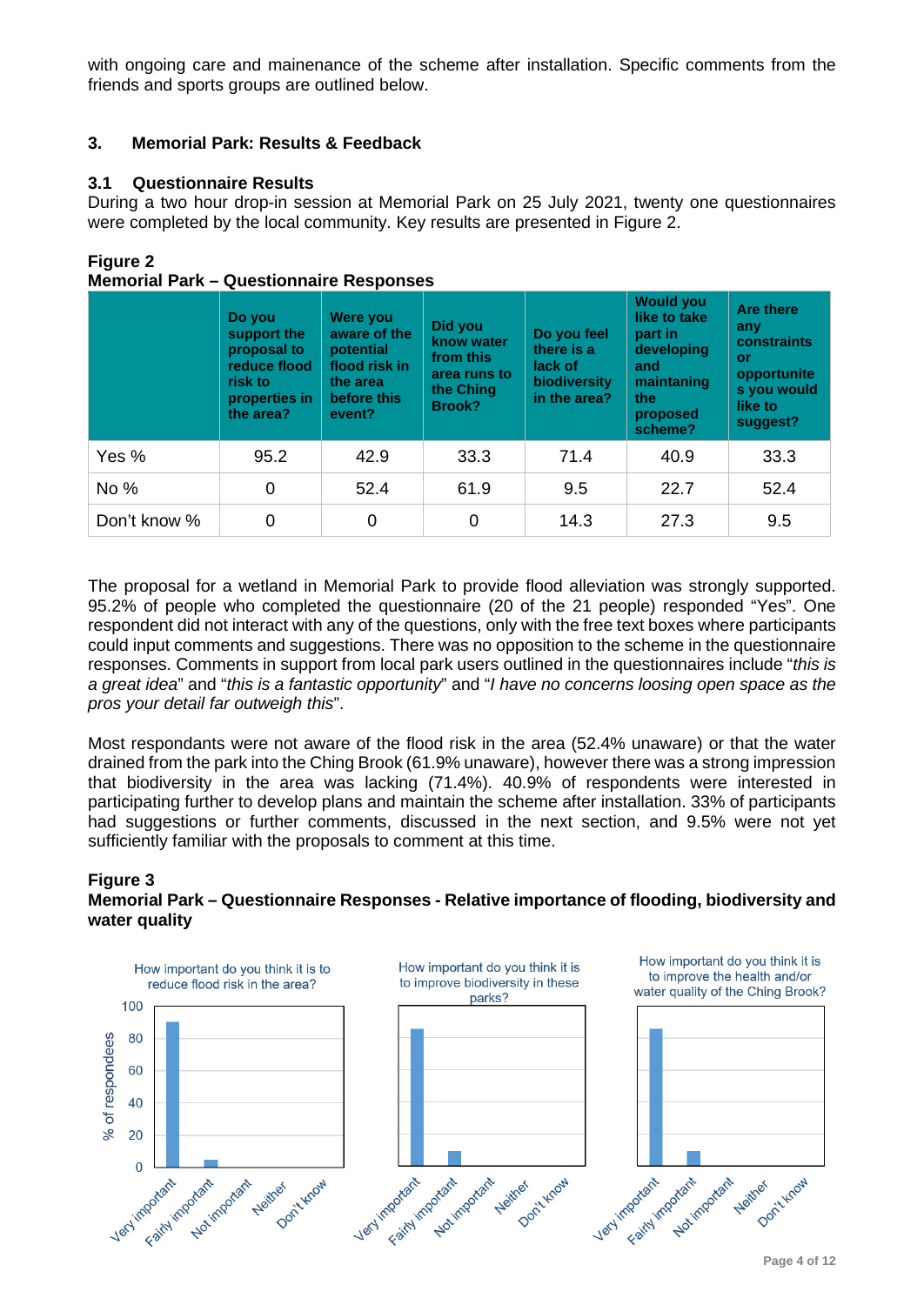with ongoing care and mainenance of the scheme after installation. Specific comments from the friends and sports groups are outlined below.

## **3. Memorial Park: Results & Feedback**

## **3.1 Questionnaire Results**

During a two hour drop-in session at Memorial Park on 25 July 2021, twenty one questionnaires were completed by the local community. Key results are presented in Figure 2.

## **Figure 2**

|              | Do you<br>support the<br>proposal to<br>reduce flood<br>risk to<br>properties in<br>the area? | Were you<br>aware of the<br>potential<br>flood risk in<br>the area<br>before this<br>event? | Did you<br>know water<br>from this<br>area runs to<br>the Ching<br>Brook? | Do you feel<br>there is a<br>lack of<br>biodiversity<br>in the area? | <b>Would you</b><br>like to take<br>part in<br>developing<br>and<br>maintaning<br>the<br>proposed<br>scheme? | <b>Are there</b><br>any<br>constraints<br><b>or</b><br>opportunite<br>s you would<br>like to<br>suggest? |
|--------------|-----------------------------------------------------------------------------------------------|---------------------------------------------------------------------------------------------|---------------------------------------------------------------------------|----------------------------------------------------------------------|--------------------------------------------------------------------------------------------------------------|----------------------------------------------------------------------------------------------------------|
| Yes %        | 95.2                                                                                          | 42.9                                                                                        | 33.3                                                                      | 71.4                                                                 | 40.9                                                                                                         | 33.3                                                                                                     |
| No %         | 0                                                                                             | 52.4                                                                                        | 61.9                                                                      | 9.5                                                                  | 22.7                                                                                                         | 52.4                                                                                                     |
| Don't know % | 0                                                                                             | 0                                                                                           | 0                                                                         | 14.3                                                                 | 27.3                                                                                                         | 9.5                                                                                                      |

## **Memorial Park – Questionnaire Responses**

The proposal for a wetland in Memorial Park to provide flood alleviation was strongly supported. 95.2% of people who completed the questionnaire (20 of the 21 people) responded "Yes". One respondent did not interact with any of the questions, only with the free text boxes where participants could input comments and suggestions. There was no opposition to the scheme in the questionnaire responses. Comments in support from local park users outlined in the questionnaires include "*this is a great idea*" and "*this is a fantastic opportunity*" and "*I have no concerns loosing open space as the pros your detail far outweigh this*".

Most respondants were not aware of the flood risk in the area (52.4% unaware) or that the water drained from the park into the Ching Brook (61.9% unaware), however there was a strong impression that biodiversity in the area was lacking (71.4%). 40.9% of respondents were interested in participating further to develop plans and maintain the scheme after installation. 33% of participants had suggestions or further comments, discussed in the next section, and 9.5% were not yet sufficiently familiar with the proposals to comment at this time.

#### **Figure 3 Memorial Park – Questionnaire Responses - Relative importance of flooding, biodiversity and water quality**

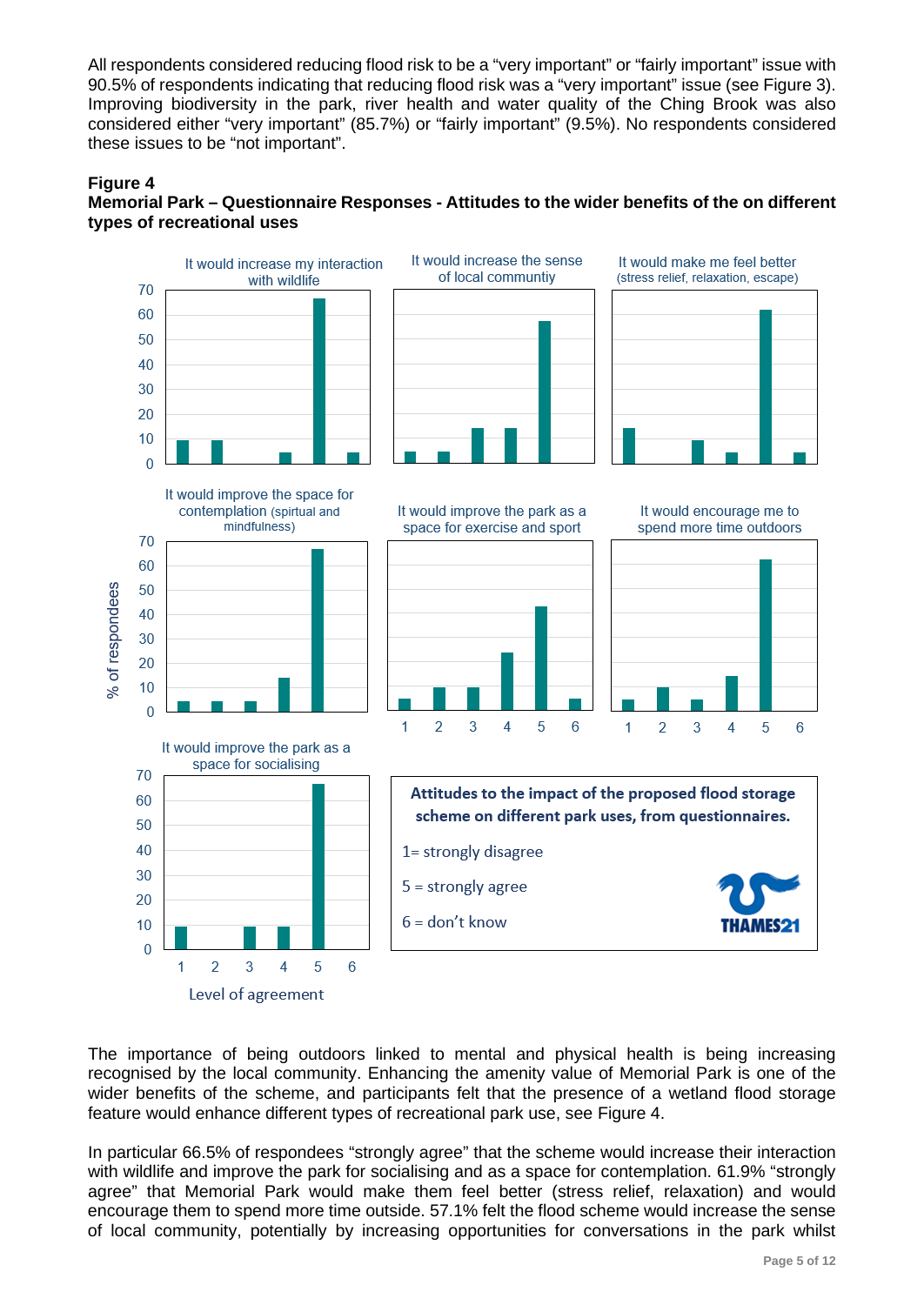All respondents considered reducing flood risk to be a "very important" or "fairly important" issue with 90.5% of respondents indicating that reducing flood risk was a "very important" issue (see Figure 3). Improving biodiversity in the park, river health and water quality of the Ching Brook was also considered either "very important" (85.7%) or "fairly important" (9.5%). No respondents considered these issues to be "not important".

## **Figure 4**





The importance of being outdoors linked to mental and physical health is being increasing recognised by the local community. Enhancing the amenity value of Memorial Park is one of the wider benefits of the scheme, and participants felt that the presence of a wetland flood storage feature would enhance different types of recreational park use, see Figure 4.

In particular 66.5% of respondees "strongly agree" that the scheme would increase their interaction with wildlife and improve the park for socialising and as a space for contemplation. 61.9% "strongly agree" that Memorial Park would make them feel better (stress relief, relaxation) and would encourage them to spend more time outside. 57.1% felt the flood scheme would increase the sense of local community, potentially by increasing opportunities for conversations in the park whilst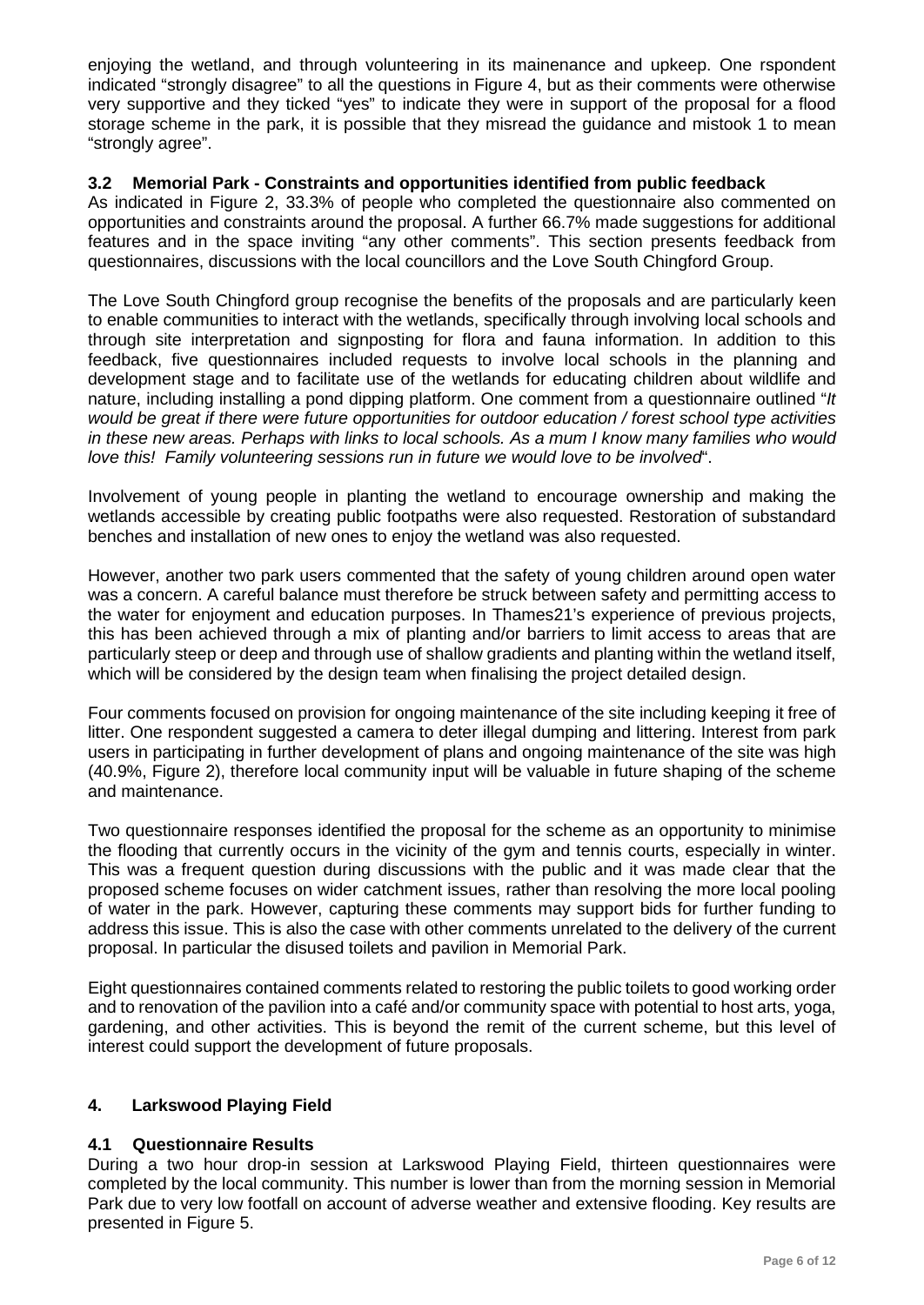enjoying the wetland, and through volunteering in its mainenance and upkeep. One rspondent indicated "strongly disagree" to all the questions in Figure 4, but as their comments were otherwise very supportive and they ticked "yes" to indicate they were in support of the proposal for a flood storage scheme in the park, it is possible that they misread the guidance and mistook 1 to mean "strongly agree".

## **3.2 Memorial Park - Constraints and opportunities identified from public feedback**

As indicated in Figure 2, 33.3% of people who completed the questionnaire also commented on opportunities and constraints around the proposal. A further 66.7% made suggestions for additional features and in the space inviting "any other comments". This section presents feedback from questionnaires, discussions with the local councillors and the Love South Chingford Group.

The Love South Chingford group recognise the benefits of the proposals and are particularly keen to enable communities to interact with the wetlands, specifically through involving local schools and through site interpretation and signposting for flora and fauna information. In addition to this feedback, five questionnaires included requests to involve local schools in the planning and development stage and to facilitate use of the wetlands for educating children about wildlife and nature, including installing a pond dipping platform. One comment from a questionnaire outlined "*It would be great if there were future opportunities for outdoor education / forest school type activities* in these new areas. Perhaps with links to local schools. As a mum I know many families who would *love this! Family volunteering sessions run in future we would love to be involved*".

Involvement of young people in planting the wetland to encourage ownership and making the wetlands accessible by creating public footpaths were also requested. Restoration of substandard benches and installation of new ones to enjoy the wetland was also requested.

However, another two park users commented that the safety of young children around open water was a concern. A careful balance must therefore be struck between safety and permitting access to the water for enjoyment and education purposes. In Thames21's experience of previous projects, this has been achieved through a mix of planting and/or barriers to limit access to areas that are particularly steep or deep and through use of shallow gradients and planting within the wetland itself, which will be considered by the design team when finalising the project detailed design.

Four comments focused on provision for ongoing maintenance of the site including keeping it free of litter. One respondent suggested a camera to deter illegal dumping and littering. Interest from park users in participating in further development of plans and ongoing maintenance of the site was high (40.9%, Figure 2), therefore local community input will be valuable in future shaping of the scheme and maintenance.

Two questionnaire responses identified the proposal for the scheme as an opportunity to minimise the flooding that currently occurs in the vicinity of the gym and tennis courts, especially in winter. This was a frequent question during discussions with the public and it was made clear that the proposed scheme focuses on wider catchment issues, rather than resolving the more local pooling of water in the park. However, capturing these comments may support bids for further funding to address this issue. This is also the case with other comments unrelated to the delivery of the current proposal. In particular the disused toilets and pavilion in Memorial Park.

Eight questionnaires contained comments related to restoring the public toilets to good working order and to renovation of the pavilion into a café and/or community space with potential to host arts, yoga, gardening, and other activities. This is beyond the remit of the current scheme, but this level of interest could support the development of future proposals.

## **4. Larkswood Playing Field**

## **4.1 Questionnaire Results**

During a two hour drop-in session at Larkswood Playing Field, thirteen questionnaires were completed by the local community. This number is lower than from the morning session in Memorial Park due to very low footfall on account of adverse weather and extensive flooding. Key results are presented in Figure 5.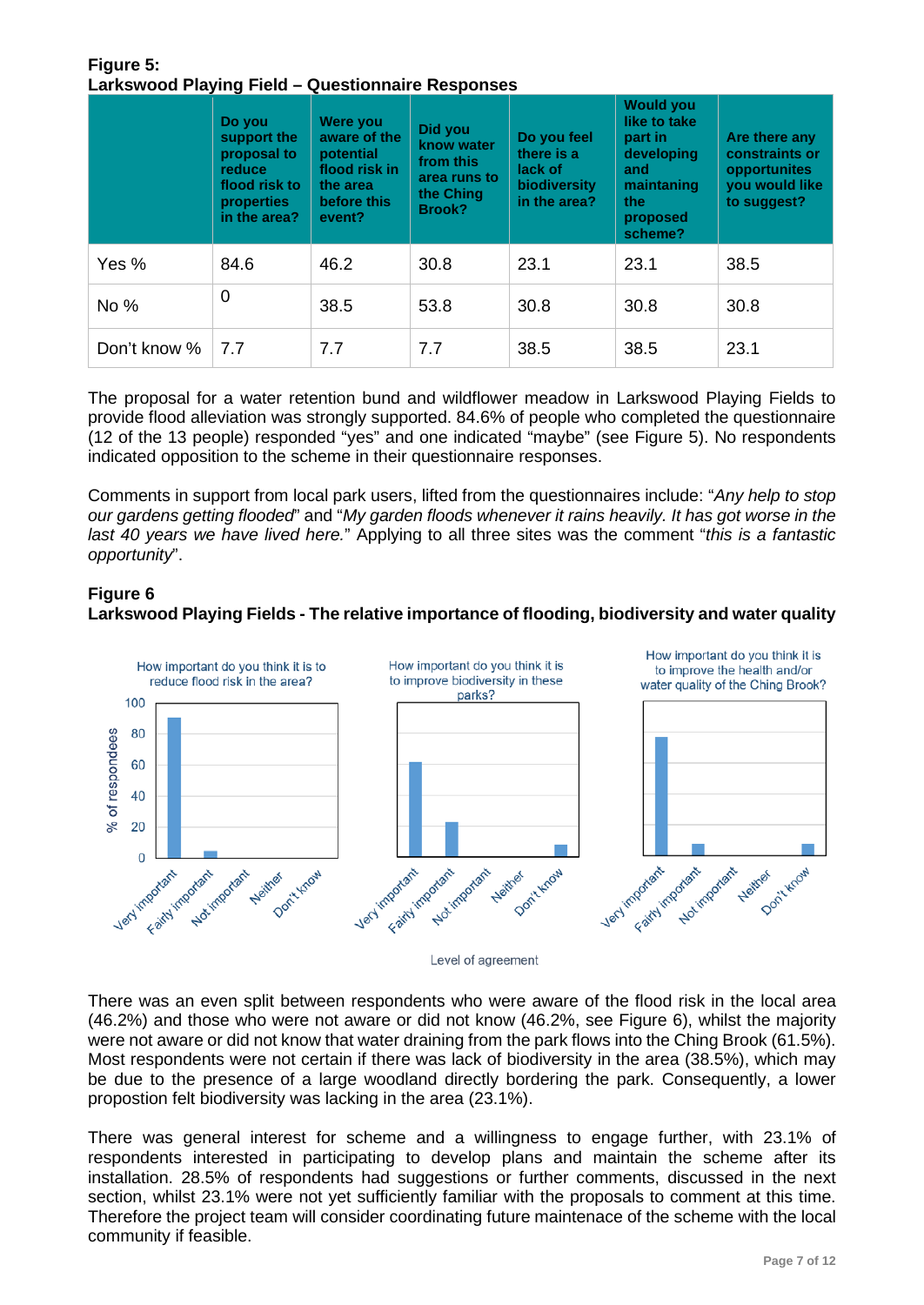#### **Figure 5: Larkswood Playing Field – Questionnaire Responses**

|              | Do you<br>support the<br>proposal to<br>reduce<br>flood risk to<br><b>properties</b><br>in the area? | <b>Were you</b><br>aware of the<br>potential<br>flood risk in<br>the area<br>before this<br>event? | Did you<br>know water<br>from this<br>area runs to<br>the Ching<br><b>Brook?</b> | Do you feel<br>there is a<br>lack of<br>biodiversity<br>in the area? | <b>Would you</b><br>like to take<br>part in<br>developing<br>and<br>maintaning<br>the<br>proposed<br>scheme? | Are there any<br>constraints or<br>opportunites<br>you would like<br>to suggest? |
|--------------|------------------------------------------------------------------------------------------------------|----------------------------------------------------------------------------------------------------|----------------------------------------------------------------------------------|----------------------------------------------------------------------|--------------------------------------------------------------------------------------------------------------|----------------------------------------------------------------------------------|
| Yes %        | 84.6                                                                                                 | 46.2                                                                                               | 30.8                                                                             | 23.1                                                                 | 23.1                                                                                                         | 38.5                                                                             |
| No %         | $\overline{0}$                                                                                       | 38.5                                                                                               | 53.8                                                                             | 30.8                                                                 | 30.8                                                                                                         | 30.8                                                                             |
| Don't know % | 7.7                                                                                                  | 7.7                                                                                                | 7.7                                                                              | 38.5                                                                 | 38.5                                                                                                         | 23.1                                                                             |

The proposal for a water retention bund and wildflower meadow in Larkswood Playing Fields to provide flood alleviation was strongly supported. 84.6% of people who completed the questionnaire (12 of the 13 people) responded "yes" and one indicated "maybe" (see Figure 5). No respondents indicated opposition to the scheme in their questionnaire responses.

Comments in support from local park users, lifted from the questionnaires include: "*Any help to stop our gardens getting flooded*" and "*My garden floods whenever it rains heavily. It has got worse in the last 40 years we have lived here.*" Applying to all three sites was the comment "*this is a fantastic opportunity*".

## **Figure 6**

## **Larkswood Playing Fields - The relative importance of flooding, biodiversity and water quality**



Level of agreement

There was an even split between respondents who were aware of the flood risk in the local area (46.2%) and those who were not aware or did not know (46.2%, see Figure 6), whilst the majority were not aware or did not know that water draining from the park flows into the Ching Brook (61.5%). Most respondents were not certain if there was lack of biodiversity in the area (38.5%), which may be due to the presence of a large woodland directly bordering the park. Consequently, a lower propostion felt biodiversity was lacking in the area (23.1%).

There was general interest for scheme and a willingness to engage further, with 23.1% of respondents interested in participating to develop plans and maintain the scheme after its installation. 28.5% of respondents had suggestions or further comments, discussed in the next section, whilst 23.1% were not yet sufficiently familiar with the proposals to comment at this time. Therefore the project team will consider coordinating future maintenace of the scheme with the local community if feasible.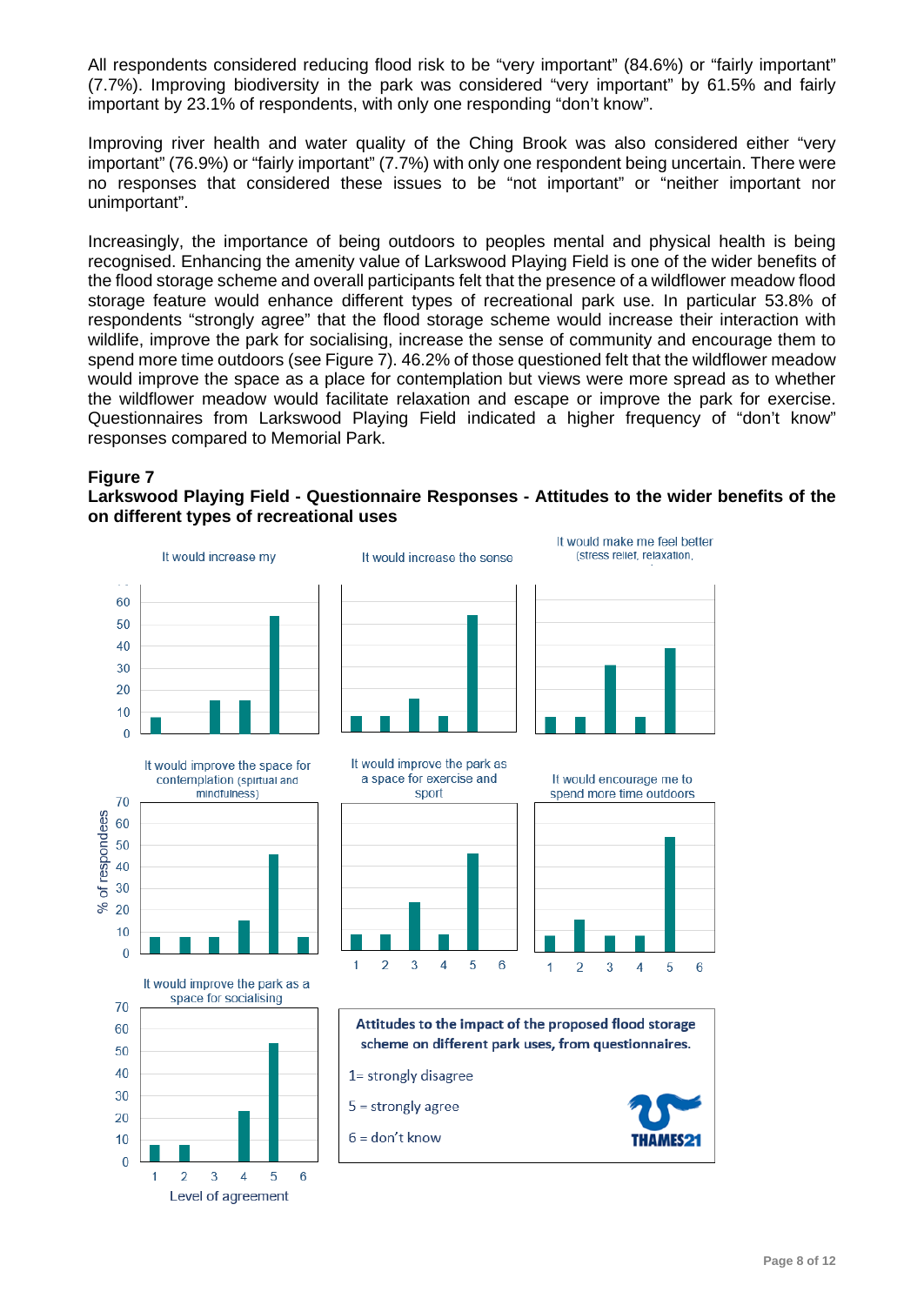All respondents considered reducing flood risk to be "very important" (84.6%) or "fairly important" (7.7%). Improving biodiversity in the park was considered "very important" by 61.5% and fairly important by 23.1% of respondents, with only one responding "don't know".

Improving river health and water quality of the Ching Brook was also considered either "very important" (76.9%) or "fairly important" (7.7%) with only one respondent being uncertain. There were no responses that considered these issues to be "not important" or "neither important nor unimportant".

Increasingly, the importance of being outdoors to peoples mental and physical health is being recognised. Enhancing the amenity value of Larkswood Playing Field is one of the wider benefits of the flood storage scheme and overall participants felt that the presence of a wildflower meadow flood storage feature would enhance different types of recreational park use. In particular 53.8% of respondents "strongly agree" that the flood storage scheme would increase their interaction with wildlife, improve the park for socialising, increase the sense of community and encourage them to spend more time outdoors (see Figure 7). 46.2% of those questioned felt that the wildflower meadow would improve the space as a place for contemplation but views were more spread as to whether the wildflower meadow would facilitate relaxation and escape or improve the park for exercise. Questionnaires from Larkswood Playing Field indicated a higher frequency of "don't know" responses compared to Memorial Park.

#### **Figure 7**

**Larkswood Playing Field - Questionnaire Responses - Attitudes to the wider benefits of the on different types of recreational uses**

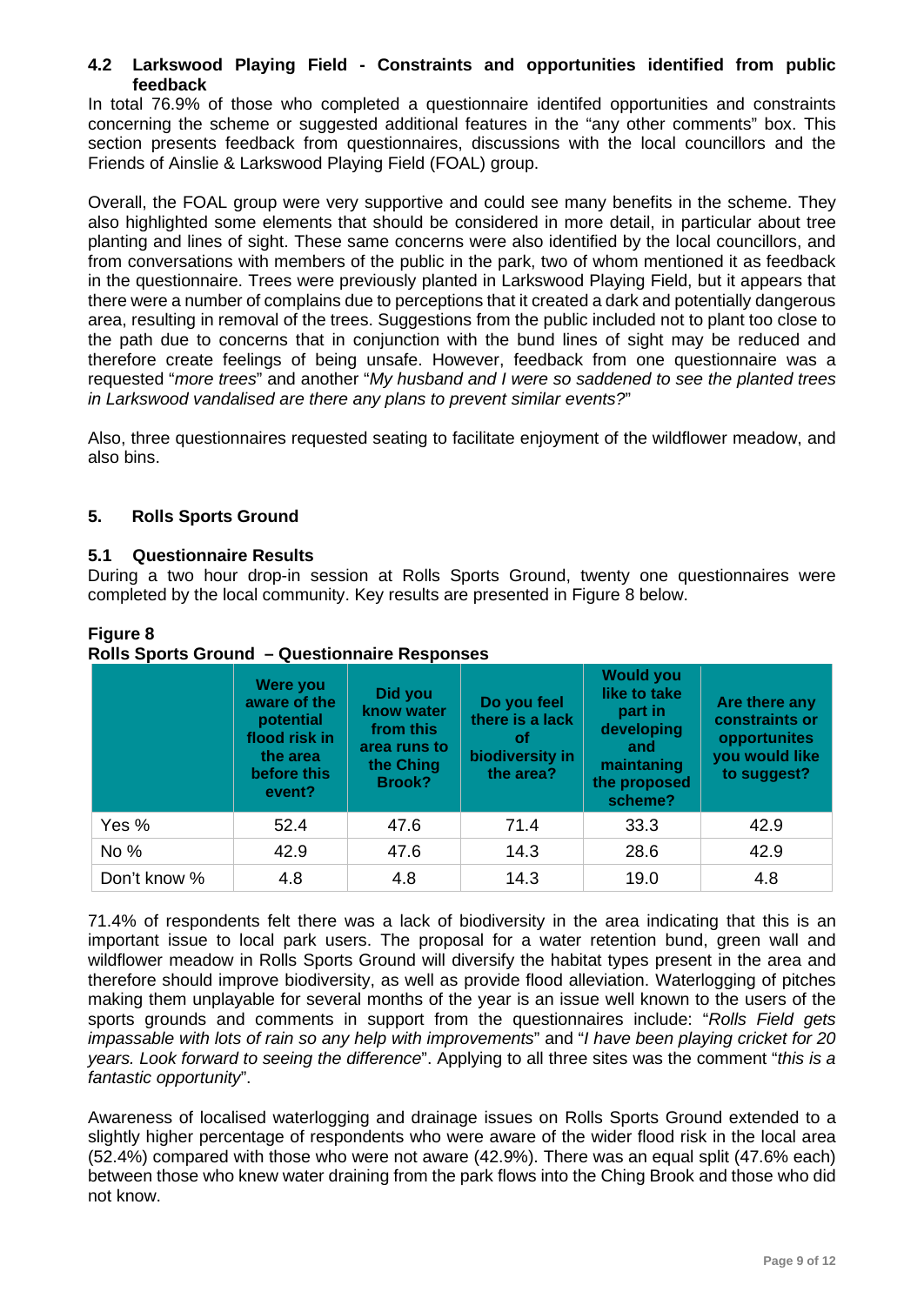## **4.2 Larkswood Playing Field - Constraints and opportunities identified from public feedback**

In total 76.9% of those who completed a questionnaire identifed opportunities and constraints concerning the scheme or suggested additional features in the "any other comments" box. This section presents feedback from questionnaires, discussions with the local councillors and the Friends of Ainslie & Larkswood Playing Field (FOAL) group.

Overall, the FOAL group were very supportive and could see many benefits in the scheme. They also highlighted some elements that should be considered in more detail, in particular about tree planting and lines of sight. These same concerns were also identified by the local councillors, and from conversations with members of the public in the park, two of whom mentioned it as feedback in the questionnaire. Trees were previously planted in Larkswood Playing Field, but it appears that there were a number of complains due to perceptions that it created a dark and potentially dangerous area, resulting in removal of the trees. Suggestions from the public included not to plant too close to the path due to concerns that in conjunction with the bund lines of sight may be reduced and therefore create feelings of being unsafe. However, feedback from one questionnaire was a requested "*more trees*" and another "*My husband and I were so saddened to see the planted trees in Larkswood vandalised are there any plans to prevent similar events?*"

Also, three questionnaires requested seating to facilitate enjoyment of the wildflower meadow, and also bins.

## **5. Rolls Sports Ground**

## **5.1 Questionnaire Results**

During a two hour drop-in session at Rolls Sports Ground, twenty one questionnaires were completed by the local community. Key results are presented in Figure 8 below.

|              | Were you<br>aware of the<br>potential<br>flood risk in<br>the area<br>before this<br>event? | Did you<br>know water<br>from this<br>area runs to<br>the Ching<br><b>Brook?</b> | Do you feel<br>there is a lack<br><b>of</b><br>biodiversity in<br>the area? | <b>Would you</b><br>like to take<br>part in<br>developing<br>and<br>maintaning<br>the proposed<br>scheme? | Are there any<br>constraints or<br>opportunites<br>you would like<br>to suggest? |
|--------------|---------------------------------------------------------------------------------------------|----------------------------------------------------------------------------------|-----------------------------------------------------------------------------|-----------------------------------------------------------------------------------------------------------|----------------------------------------------------------------------------------|
| Yes %        | 52.4                                                                                        | 47.6                                                                             | 71.4                                                                        | 33.3                                                                                                      | 42.9                                                                             |
| No %         | 42.9                                                                                        | 47.6                                                                             | 14.3                                                                        | 28.6                                                                                                      | 42.9                                                                             |
| Don't know % | 4.8                                                                                         | 4.8                                                                              | 14.3                                                                        | 19.0                                                                                                      | 4.8                                                                              |

#### **Figure 8 Rolls Sports Ground – Questionnaire Responses**

71.4% of respondents felt there was a lack of biodiversity in the area indicating that this is an important issue to local park users. The proposal for a water retention bund, green wall and wildflower meadow in Rolls Sports Ground will diversify the habitat types present in the area and therefore should improve biodiversity, as well as provide flood alleviation. Waterlogging of pitches making them unplayable for several months of the year is an issue well known to the users of the sports grounds and comments in support from the questionnaires include: "*Rolls Field gets impassable with lots of rain so any help with improvements*" and "*I have been playing cricket for 20 years. Look forward to seeing the difference*". Applying to all three sites was the comment "*this is a fantastic opportunity*".

Awareness of localised waterlogging and drainage issues on Rolls Sports Ground extended to a slightly higher percentage of respondents who were aware of the wider flood risk in the local area (52.4%) compared with those who were not aware (42.9%). There was an equal split (47.6% each) between those who knew water draining from the park flows into the Ching Brook and those who did not know.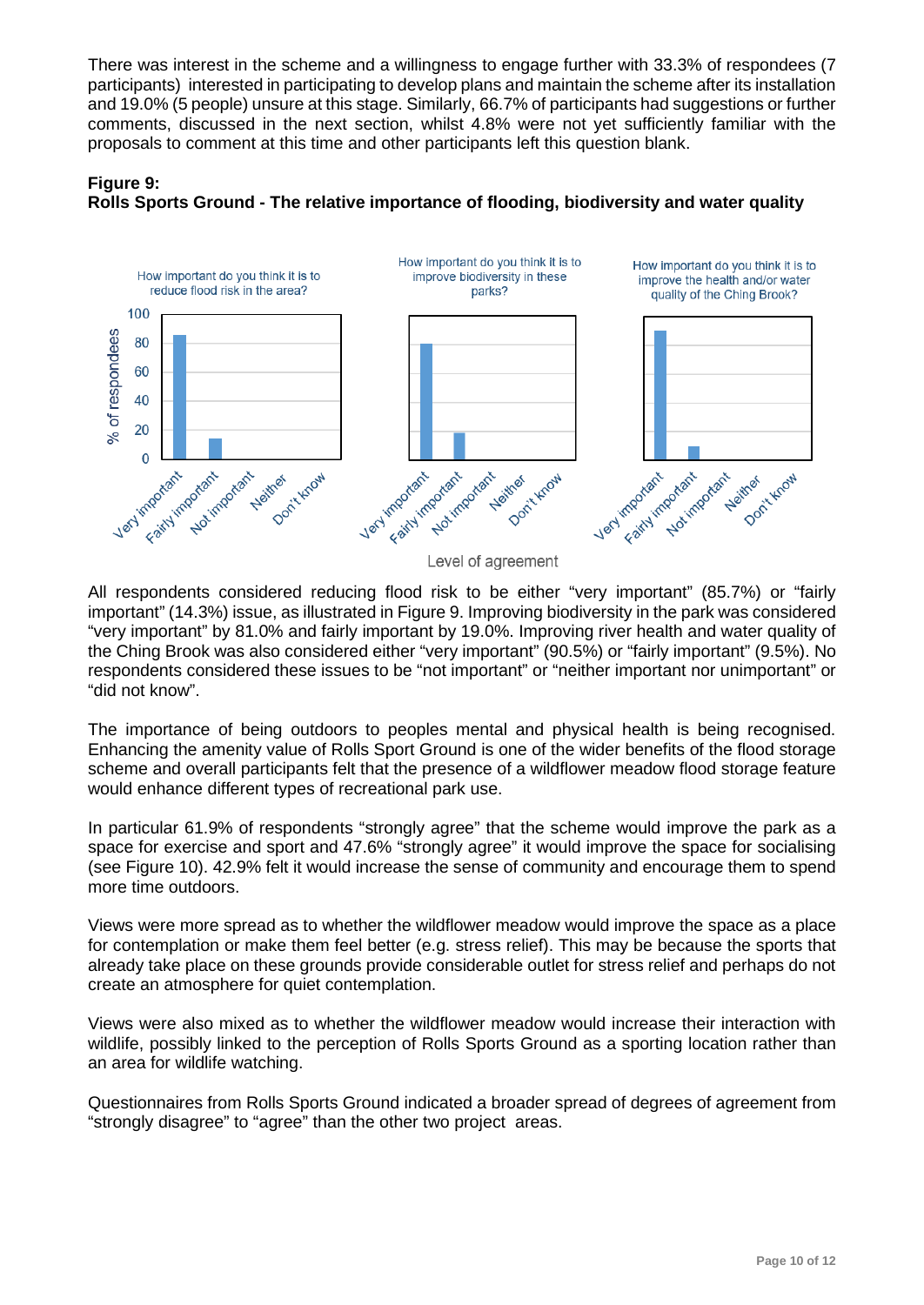There was interest in the scheme and a willingness to engage further with 33.3% of respondees (7 participants) interested in participating to develop plans and maintain the scheme after its installation and 19.0% (5 people) unsure at this stage. Similarly, 66.7% of participants had suggestions or further comments, discussed in the next section, whilst 4.8% were not yet sufficiently familiar with the proposals to comment at this time and other participants left this question blank.





All respondents considered reducing flood risk to be either "very important" (85.7%) or "fairly important" (14.3%) issue, as illustrated in Figure 9. Improving biodiversity in the park was considered "very important" by 81.0% and fairly important by 19.0%. Improving river health and water quality of the Ching Brook was also considered either "very important" (90.5%) or "fairly important" (9.5%). No respondents considered these issues to be "not important" or "neither important nor unimportant" or "did not know".

The importance of being outdoors to peoples mental and physical health is being recognised. Enhancing the amenity value of Rolls Sport Ground is one of the wider benefits of the flood storage scheme and overall participants felt that the presence of a wildflower meadow flood storage feature would enhance different types of recreational park use.

In particular 61.9% of respondents "strongly agree" that the scheme would improve the park as a space for exercise and sport and 47.6% "strongly agree" it would improve the space for socialising (see Figure 10). 42.9% felt it would increase the sense of community and encourage them to spend more time outdoors.

Views were more spread as to whether the wildflower meadow would improve the space as a place for contemplation or make them feel better (e.g. stress relief). This may be because the sports that already take place on these grounds provide considerable outlet for stress relief and perhaps do not create an atmosphere for quiet contemplation.

Views were also mixed as to whether the wildflower meadow would increase their interaction with wildlife, possibly linked to the perception of Rolls Sports Ground as a sporting location rather than an area for wildlife watching.

Questionnaires from Rolls Sports Ground indicated a broader spread of degrees of agreement from "strongly disagree" to "agree" than the other two project areas.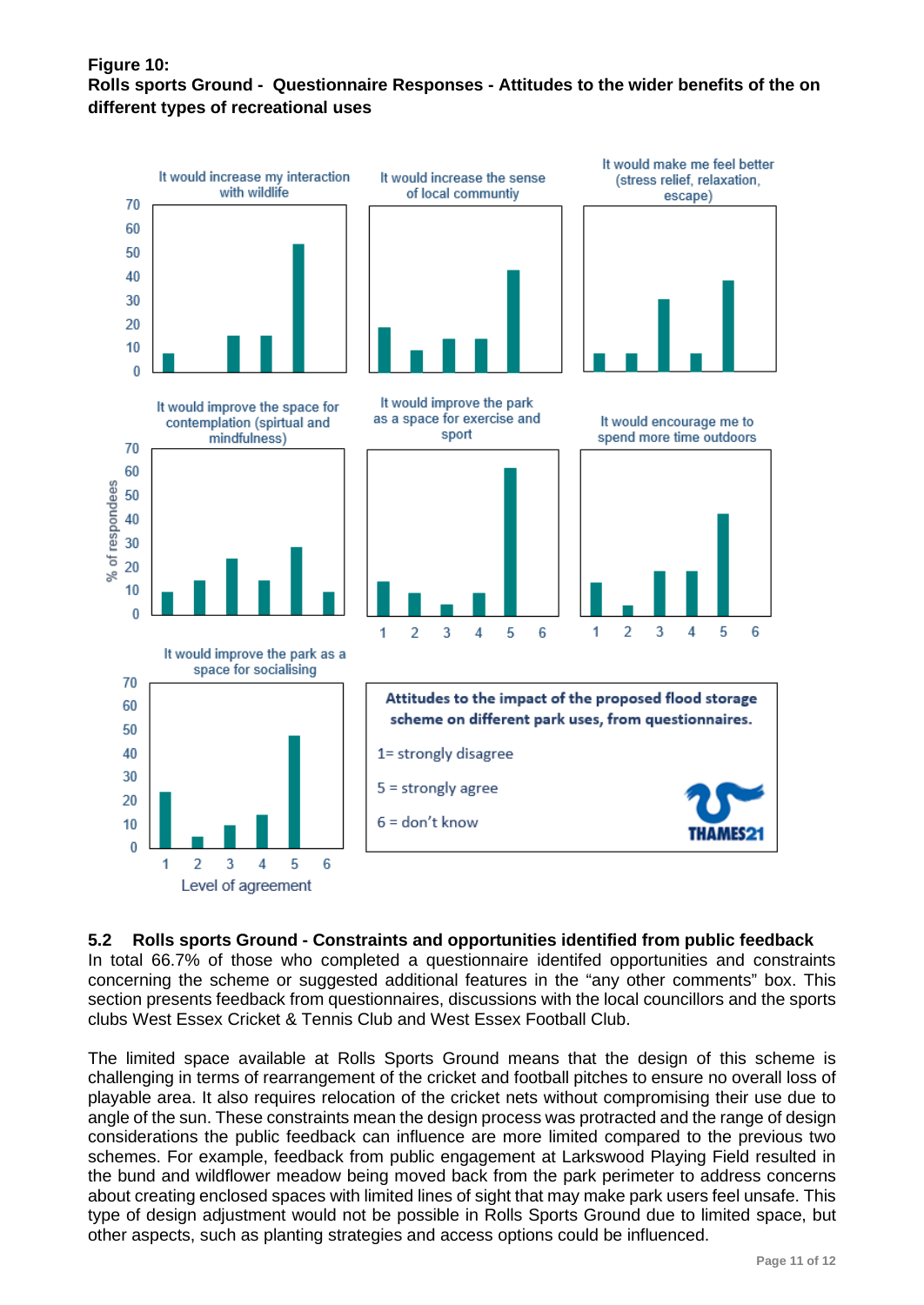## **Figure 10: Rolls sports Ground - Questionnaire Responses - Attitudes to the wider benefits of the on different types of recreational uses**



#### **5.2 Rolls sports Ground - Constraints and opportunities identified from public feedback**

In total 66.7% of those who completed a questionnaire identifed opportunities and constraints concerning the scheme or suggested additional features in the "any other comments" box. This section presents feedback from questionnaires, discussions with the local councillors and the sports clubs West Essex Cricket & Tennis Club and West Essex Football Club.

The limited space available at Rolls Sports Ground means that the design of this scheme is challenging in terms of rearrangement of the cricket and football pitches to ensure no overall loss of playable area. It also requires relocation of the cricket nets without compromising their use due to angle of the sun. These constraints mean the design process was protracted and the range of design considerations the public feedback can influence are more limited compared to the previous two schemes. For example, feedback from public engagement at Larkswood Playing Field resulted in the bund and wildflower meadow being moved back from the park perimeter to address concerns about creating enclosed spaces with limited lines of sight that may make park users feel unsafe. This type of design adjustment would not be possible in Rolls Sports Ground due to limited space, but other aspects, such as planting strategies and access options could be influenced.